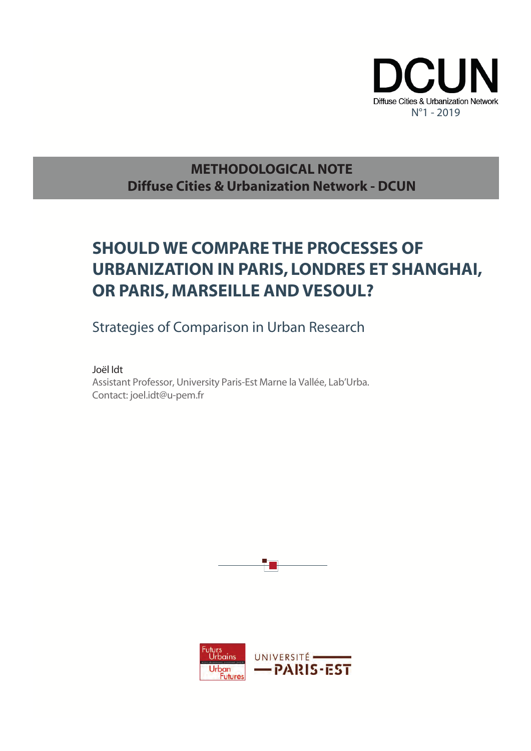

### **METHODOLOGICAL NOTE Diffuse Cities & Urbanization Network - DCUN**

## **SHOULD WE COMPARE THE PROCESSES OF URBANIZATION IN PARIS, LONDRES ET SHANGHAI, OR PARIS, MARSEILLE AND VESOUL?**

Strategies of Comparison in Urban Research

Joël Idt

Assistant Professor, University Paris-Est Marne la Vallée, Lab'Urba. Contact: joel.idt@u-pem.fr



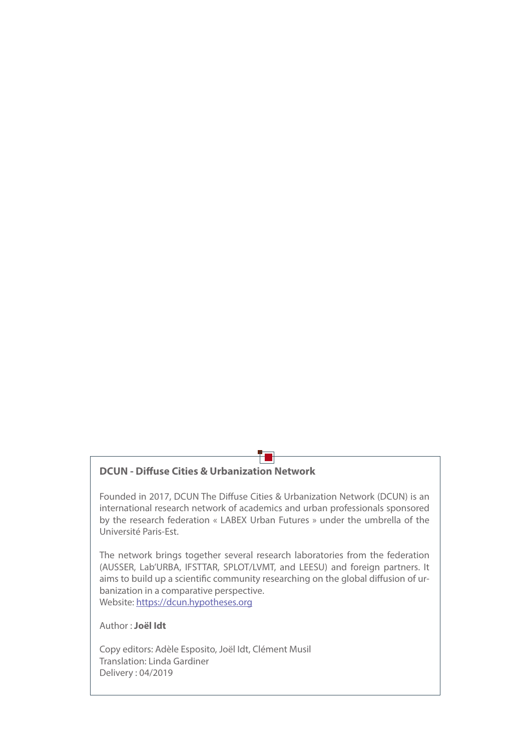#### **DCUN - Diffuse Cities & Urbanization Network**

Founded in 2017, DCUN The Diffuse Cities & Urbanization Network (DCUN) is an international research network of academics and urban professionals sponsored by the research federation « LABEX Urban Futures » under the umbrella of the Université Paris-Est.

Ŧı

The network brings together several research laboratories from the federation (AUSSER, Lab'URBA, IFSTTAR, SPLOT/LVMT, and LEESU) and foreign partners. It aims to build up a scientific community researching on the global diffusion of urbanization in a comparative perspective. Website: [https://dcun.hypotheses.org](www.paddi.vn)

Author : **Joël Idt**

Copy editors: Adèle Esposito, Joël Idt, Clément Musil Translation: Linda Gardiner Delivery : 04/2019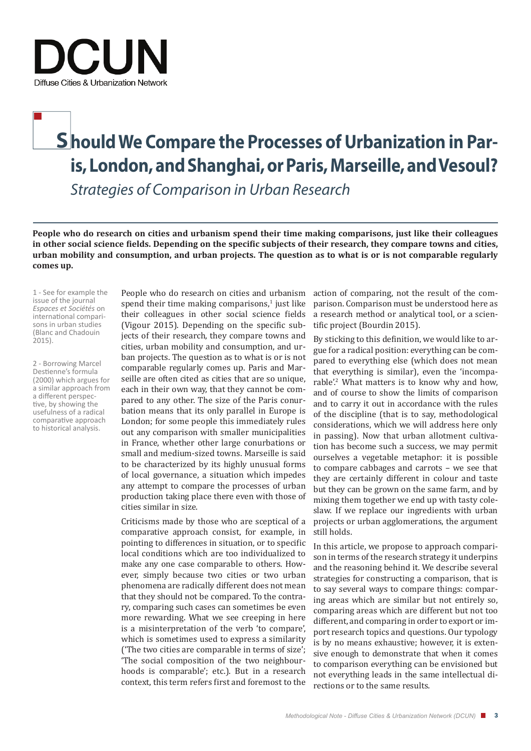

# **S hould We Compare the Processes of Urbanization in Paris, London, and Shanghai, or Paris, Marseille, and Vesoul?**

*Strategies of Comparison in Urban Research*

**People who do research on cities and urbanism spend their time making comparisons, just like their colleagues**  in other social science fields. Depending on the specific subjects of their research, they compare towns and cities, **urban mobility and consumption, and urban projects. The question as to what is or is not comparable regularly comes up.**

1 - See for example the issue of the journal<br>Espaces et Sociétés on *Espaces et Sociétés* on internati onal comparisons in urban studies (Blanc and Chadouin 2015).

2 - Borrowing Marcel Destienne's formula (2000) which argues for a similar approach from a different perspective, by showing the usefulness of a radical comparative approach to historical analysis.

People who do research on cities and urbanism spend their time making comparisons,<sup>1</sup> just like their colleagues in other social science fields (Vigour 2015). Depending on the specific subjects of their research, they compare towns and cities, urban mobility and consumption, and urban projects. The question as to what is or is not comparable regularly comes up. Paris and Marseille are often cited as cities that are so unique, each in their own way, that they cannot be compared to any other. The size of the Paris conurbation means that its only parallel in Europe is London; for some people this immediately rules out any comparison with smaller municipalities in France, whether other large conurbations or small and medium-sized towns. Marseille is said to be characterized by its highly unusual forms of local governance, a situation which impedes any attempt to compare the processes of urban production taking place there even with those of cities similar in size.

Criticisms made by those who are sceptical of a comparative approach consist, for example, in pointing to differences in situation, or to specific local conditions which are too individualized to make any one case comparable to others. However, simply because two cities or two urban phenomena are radically different does not mean that they should not be compared. To the contrary, comparing such cases can sometimes be even more rewarding. What we see creeping in here is a misinterpretation of the verb 'to compare', which is sometimes used to express a similarity ('The two cities are comparable in terms of size'; 'The social composition of the two neighbourhoods is comparable'; etc.). But in a research context, this term refers first and foremost to the

action of comparing, not the result of the comparison. Comparison must be understood here as a research method or analytical tool, or a scientific project (Bourdin 2015).

By sticking to this definition, we would like to argue for a radical position: everything can be compared to everything else (which does not mean that everything is similar), even the 'incomparable'.<sup>2</sup> What matters is to know why and how, and of course to show the limits of comparison and to carry it out in accordance with the rules of the discipline (that is to say, methodological considerations, which we will address here only in passing). Now that urban allotment cultivation has become such a success, we may permit ourselves a vegetable metaphor: it is possible to compare cabbages and carrots – we see that they are certainly different in colour and taste but they can be grown on the same farm, and by mixing them together we end up with tasty coleslaw. If we replace our ingredients with urban projects or urban agglomerations, the argument still holds.

In this article, we propose to approach comparison in terms of the research strategy it underpins and the reasoning behind it. We describe several strategies for constructing a comparison, that is to say several ways to compare things: comparing areas which are similar but not entirely so, comparing areas which are different but not too different, and comparing in order to export or import research topics and questions. Our typology is by no means exhaustive; however, it is extensive enough to demonstrate that when it comes to comparison everything can be envisioned but not everything leads in the same intellectual directions or to the same results.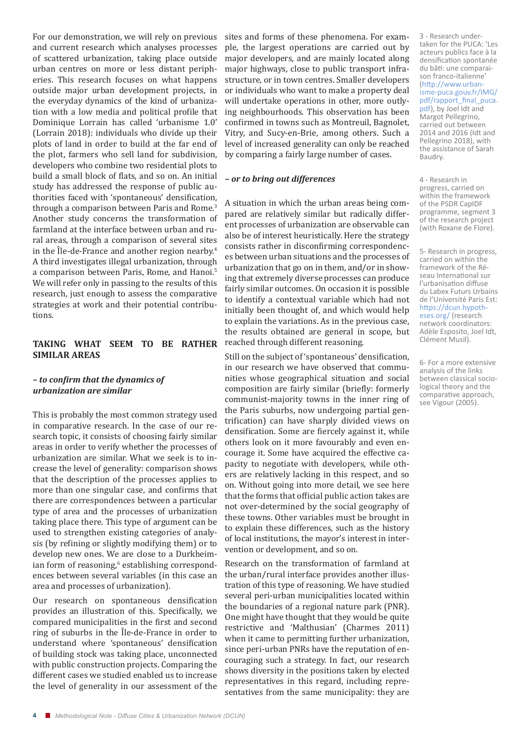For our demonstration, we will rely on previous and current research which analyses processes of scattered urbanization, taking place outside urban centres on more or less distant peripheries. This research focuses on what happens outside major urban development projects, in the everyday dynamics of the kind of urbanization with a low media and political profile that Dominique Lorrain has called 'urbanisme 1.0' (Lorrain 2018): individuals who divide up their plots of land in order to build at the far end of the plot, farmers who sell land for subdivision, developers who combine two residential plots to build a small block of flats, and so on. An initial study has addressed the response of public authorities faced with 'spontaneous' densification, through a comparison between Paris and Rome.<sup>3</sup> Another study concerns the transformation of farmland at the interface between urban and rural areas, through a comparison of several sites in the Île-de-France and another region nearby.<sup>4</sup> A third investigates illegal urbanization, through a comparison between Paris, Rome, and Hanoi.<sup>5</sup> We will refer only in passing to the results of this research, just enough to assess the comparative strategies at work and their potential contributions.

#### **TAKING WHAT SEEM TO BE RATHER SIMILAR AREAS**

#### *– to confirm that the dynamics of urbanization are similar*

This is probably the most common strategy used in comparative research. In the case of our research topic, it consists of choosing fairly similar areas in order to verify whether the processes of urbanization are similar. What we seek is to increase the level of generality: comparison shows that the description of the processes applies to more than one singular case, and confirms that there are correspondences between a particular type of area and the processes of urbanization taking place there. This type of argument can be used to strengthen existing categories of analysis (by refining or slightly modifying them) or to develop new ones. We are close to a Durkheimian form of reasoning,<sup>6</sup> establishing correspondences between several variables (in this case an area and processes of urbanization).

Our research on spontaneous densification provides an illustration of this. Specifically, we compared municipalities in the first and second ring of suburbs in the Île-de-France in order to understand where 'spontaneous' densification of building stock was taking place, unconnected with public construction projects. Comparing the different cases we studied enabled us to increase the level of generality in our assessment of the

sites and forms of these phenomena. For example, the largest operations are carried out by major developers, and are mainly located along major highways, close to public transport infrastructure, or in town centres. Smaller developers or individuals who want to make a property deal will undertake operations in other, more outlying neighbourhoods. This observation has been confirmed in towns such as Montreuil, Bagnolet, Vitry, and Sucy-en-Brie, among others. Such a level of increased generality can only be reached by comparing a fairly large number of cases.

#### *– or to bring out differences*

A situation in which the urban areas being compared are relatively similar but radically different processes of urbanization are observable can also be of interest heuristically. Here the strategy consists rather in disconfirming correspondences between urban situations and the processes of urbanization that go on in them, and/or in showing that extremely diverse processes can produce fairly similar outcomes. On occasion it is possible to identify a contextual variable which had not initially been thought of, and which would help to explain the variations. As in the previous case, the results obtained are general in scope, but reached through different reasoning.

Still on the subject of 'spontaneous' densification, in our research we have observed that communities whose geographical situation and social composition are fairly similar (briefly: formerly communist-majority towns in the inner ring of the Paris suburbs, now undergoing partial gentrification) can have sharply divided views on densification. Some are fiercely against it, while others look on it more favourably and even encourage it. Some have acquired the effective capacity to negotiate with developers, while others are relatively lacking in this respect, and so on. Without going into more detail, we see here that the forms that official public action takes are not over-determined by the social geography of these towns. Other variables must be brought in to explain these differences, such as the history of local institutions, the mayor's interest in intervention or development, and so on.

Research on the transformation of farmland at the urban/rural interface provides another illustration of this type of reasoning. We have studied several peri-urban municipalities located within the boundaries of a regional nature park (PNR). One might have thought that they would be quite restrictive and 'Malthusian' (Charmes 2011) when it came to permitting further urbanization, since peri-urban PNRs have the reputation of encouraging such a strategy. In fact, our research shows diversity in the positions taken by elected representatives in this regard, including representatives from the same municipality: they are 3 - Research undertaken for the PUCA: 'Les acteurs publics face à la densification spontanée du bâti: une comparaison franco-italienne' (http://www.urbanisme-puca.gouv.fr/IMG/ pdf/rapport\_final\_puca. pdf), by Joel Idt and Margot Pellegrino, carried out between 2014 and 2016 (Idt and Pellegrino 2018), with the assistance of Sarah Baudry.

4 - Research in progress, carried on within the framework of the PSDR CapIDF programme, segment 3 of the research project (with Roxane de Flore).

5- Research in progress, carried on within the framework of the Réseau International sur l'urbanisation diffuse du Labex Futurs Urbains de l'Université Paris Est: https://dcun.hypotheses.org/ (research network coordinators: Adèle Esposito, Joel Idt, Clément Musil).

6- For a more extensive analysis of the links between classical sociological theory and the comparative approach, see Vigour (2005).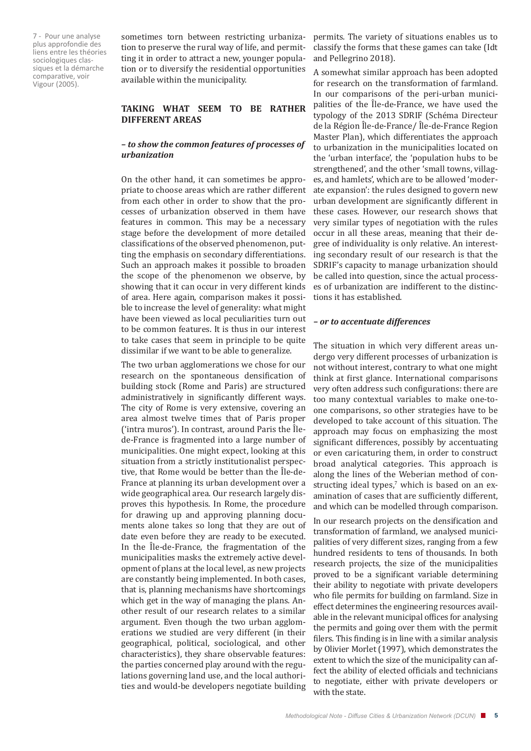7 - Pour une analyse plus approfondie des liens entre les théories sociologiques classiques et la démarche comparative, voir Vigour (2005).

sometimes torn between restricting urbanization to preserve the rural way of life, and permitting it in order to attract a new, younger population or to diversify the residential opportunities available within the municipality.

#### **TAKING WHAT SEEM TO BE RATHER DIFFERENT AREAS**

#### *– to show the common features of processes of urbanization*

On the other hand, it can sometimes be appropriate to choose areas which are rather different from each other in order to show that the processes of urbanization observed in them have features in common. This may be a necessary stage before the development of more detailed classifications of the observed phenomenon, putting the emphasis on secondary differentiations. Such an approach makes it possible to broaden the scope of the phenomenon we observe, by showing that it can occur in very different kinds of area. Here again, comparison makes it possible to increase the level of generality: what might have been viewed as local peculiarities turn out to be common features. It is thus in our interest to take cases that seem in principle to be quite dissimilar if we want to be able to generalize.

The two urban agglomerations we chose for our research on the spontaneous densification of building stock (Rome and Paris) are structured administratively in significantly different ways. The city of Rome is very extensive, covering an area almost twelve times that of Paris proper ('intra muros'). In contrast, around Paris the Îlede-France is fragmented into a large number of municipalities. One might expect, looking at this situation from a strictly institutionalist perspective, that Rome would be better than the Île-de-France at planning its urban development over a wide geographical area. Our research largely disproves this hypothesis. In Rome, the procedure for drawing up and approving planning documents alone takes so long that they are out of date even before they are ready to be executed. In the Île-de-France, the fragmentation of the municipalities masks the extremely active development of plans at the local level, as new projects are constantly being implemented. In both cases, that is, planning mechanisms have shortcomings which get in the way of managing the plans. Another result of our research relates to a similar argument. Even though the two urban agglomerations we studied are very different (in their geographical, political, sociological, and other characteristics), they share observable features: the parties concerned play around with the regulations governing land use, and the local authorities and would-be developers negotiate building

permits. The variety of situations enables us to classify the forms that these games can take (Idt and Pellegrino 2018).

A somewhat similar approach has been adopted for research on the transformation of farmland. In our comparisons of the peri-urban municipalities of the Île-de-France, we have used the typology of the 2013 SDRIF (Schéma Directeur de la Région Île-de-France/ Île-de-France Region Master Plan), which differentiates the approach to urbanization in the municipalities located on the 'urban interface', the 'population hubs to be strengthened', and the other 'small towns, villages, and hamlets', which are to be allowed 'moderate expansion': the rules designed to govern new urban development are significantly different in these cases. However, our research shows that very similar types of negotiation with the rules occur in all these areas, meaning that their degree of individuality is only relative. An interesting secondary result of our research is that the SDRIF's capacity to manage urbanization should be called into question, since the actual processes of urbanization are indifferent to the distinctions it has established.

#### *– or to accentuate differences*

The situation in which very different areas undergo very different processes of urbanization is not without interest, contrary to what one might think at first glance. International comparisons very often address such configurations: there are too many contextual variables to make one-toone comparisons, so other strategies have to be developed to take account of this situation. The approach may focus on emphasizing the most significant differences, possibly by accentuating or even caricaturing them, in order to construct broad analytical categories. This approach is along the lines of the Weberian method of constructing ideal types, $\lambda$  which is based on an examination of cases that are sufficiently different, and which can be modelled through comparison.

In our research projects on the densification and transformation of farmland, we analysed municipalities of very different sizes, ranging from a few hundred residents to tens of thousands. In both research projects, the size of the municipalities proved to be a significant variable determining their ability to negotiate with private developers who file permits for building on farmland. Size in effect determines the engineering resources available in the relevant municipal offices for analysing the permits and going over them with the permit filers. This finding is in line with a similar analysis by Olivier Morlet (1997), which demonstrates the extent to which the size of the municipality can affect the ability of elected officials and technicians to negotiate, either with private developers or with the state.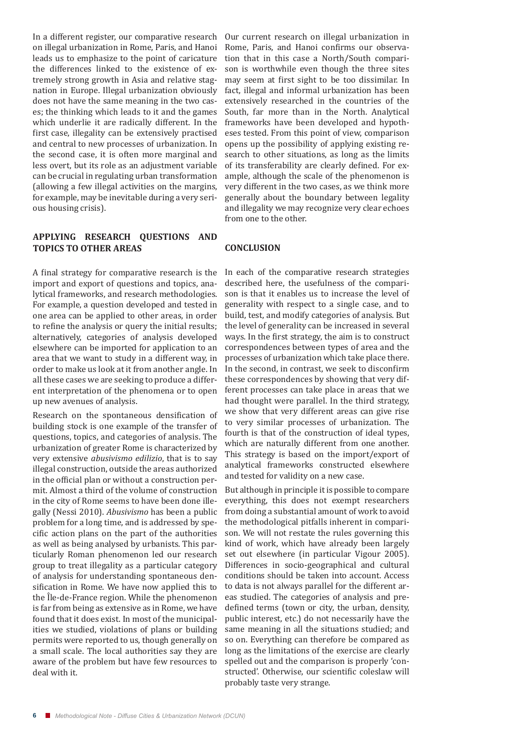In a different register, our comparative research on illegal urbanization in Rome, Paris, and Hanoi leads us to emphasize to the point of caricature the differences linked to the existence of extremely strong growth in Asia and relative stagnation in Europe. Illegal urbanization obviously does not have the same meaning in the two cases; the thinking which leads to it and the games which underlie it are radically different. In the first case, illegality can be extensively practised and central to new processes of urbanization. In the second case, it is often more marginal and less overt, but its role as an adjustment variable can be crucial in regulating urban transformation (allowing a few illegal activities on the margins, for example, may be inevitable during a very serious housing crisis).

#### **APPLYING RESEARCH QUESTIONS AND TOPICS TO OTHER AREAS**

A final strategy for comparative research is the import and export of questions and topics, analytical frameworks, and research methodologies. For example, a question developed and tested in one area can be applied to other areas, in order to refine the analysis or query the initial results; alternatively, categories of analysis developed elsewhere can be imported for application to an area that we want to study in a different way, in order to make us look at it from another angle. In all these cases we are seeking to produce a different interpretation of the phenomena or to open up new avenues of analysis.

Research on the spontaneous densification of building stock is one example of the transfer of questions, topics, and categories of analysis. The urbanization of greater Rome is characterized by very extensive *abusivismo edilizio*, that is to say illegal construction, outside the areas authorized in the official plan or without a construction permit. Almost a third of the volume of construction in the city of Rome seems to have been done illegally (Nessi 2010). *Abusivismo* has been a public problem for a long time, and is addressed by specific action plans on the part of the authorities as well as being analysed by urbanists. This particularly Roman phenomenon led our research group to treat illegality as a particular category of analysis for understanding spontaneous densification in Rome. We have now applied this to the Île-de-France region. While the phenomenon is far from being as extensive as in Rome, we have found that it does exist. In most of the municipalities we studied, violations of plans or building permits were reported to us, though generally on a small scale. The local authorities say they are aware of the problem but have few resources to deal with it.

Our current research on illegal urbanization in Rome, Paris, and Hanoi confirms our observation that in this case a North/South comparison is worthwhile even though the three sites may seem at first sight to be too dissimilar. In fact, illegal and informal urbanization has been extensively researched in the countries of the South, far more than in the North. Analytical frameworks have been developed and hypotheses tested. From this point of view, comparison opens up the possibility of applying existing research to other situations, as long as the limits of its transferability are clearly defined. For example, although the scale of the phenomenon is very different in the two cases, as we think more generally about the boundary between legality and illegality we may recognize very clear echoes from one to the other.

#### **CONCLUSION**

In each of the comparative research strategies described here, the usefulness of the comparison is that it enables us to increase the level of generality with respect to a single case, and to build, test, and modify categories of analysis. But the level of generality can be increased in several ways. In the first strategy, the aim is to construct correspondences between types of area and the processes of urbanization which take place there. In the second, in contrast, we seek to disconfirm these correspondences by showing that very different processes can take place in areas that we had thought were parallel. In the third strategy, we show that very different areas can give rise to very similar processes of urbanization. The fourth is that of the construction of ideal types, which are naturally different from one another. This strategy is based on the import/export of analytical frameworks constructed elsewhere and tested for validity on a new case.

But although in principle it is possible to compare everything, this does not exempt researchers from doing a substantial amount of work to avoid the methodological pitfalls inherent in comparison. We will not restate the rules governing this kind of work, which have already been largely set out elsewhere (in particular Vigour 2005). Differences in socio-geographical and cultural conditions should be taken into account. Access to data is not always parallel for the different areas studied. The categories of analysis and predefined terms (town or city, the urban, density, public interest, etc.) do not necessarily have the same meaning in all the situations studied; and so on. Everything can therefore be compared as long as the limitations of the exercise are clearly spelled out and the comparison is properly 'constructed'. Otherwise, our scientific coleslaw will probably taste very strange.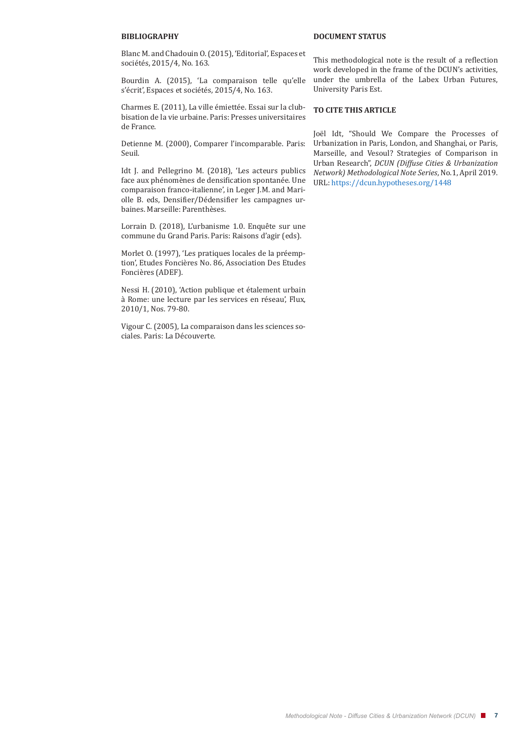#### **BIBLIOGRAPHY**

Blanc M. and Chadouin O. (2015), 'Editorial', Espaces et sociétés, 2015/4, No. 163.

Bourdin A. (2015), 'La comparaison telle qu'elle s'écrit', Espaces et sociétés, 2015/4, No. 163.

Charmes E. (2011), La ville émiettée. Essai sur la clubbisation de la vie urbaine. Paris: Presses universitaires de France.

Detienne M. (2000), Comparer l'incomparable. Paris: Seuil.

Idt J. and Pellegrino M. (2018), 'Les acteurs publics face aux phénomènes de densification spontanée. Une comparaison franco-italienne', in Leger J.M. and Mariolle B. eds, Densifier/Dédensifier les campagnes urbaines. Marseille: Parenthèses.

Lorrain D. (2018), L'urbanisme 1.0. Enquête sur une commune du Grand Paris. Paris: Raisons d'agir (eds).

Morlet O. (1997), 'Les pratiques locales de la préemption', Etudes Foncières No. 86, Association Des Etudes Foncières (ADEF).

Nessi H. (2010), 'Action publique et étalement urbain à Rome: une lecture par les services en réseau', Flux, 2010/1, Nos. 79-80.

Vigour C. (2005), La comparaison dans les sciences sociales. Paris: La Découverte.

#### **DOCUMENT STATUS**

This methodological note is the result of a reflection work developed in the frame of the DCUN's activities, under the umbrella of the Labex Urban Futures, University Paris Est.

#### **TO CITE THIS ARTICLE**

Joël Idt, "Should We Compare the Processes of Urbanization in Paris, London, and Shanghai, or Paris, Marseille, and Vesoul? Strategies of Comparison in Urban Research", *DCUN (Diffuse Cities & Urbanization Network) Methodological Note Series*, No.1, April 2019. URL: https://dcun.hypotheses.org/1448